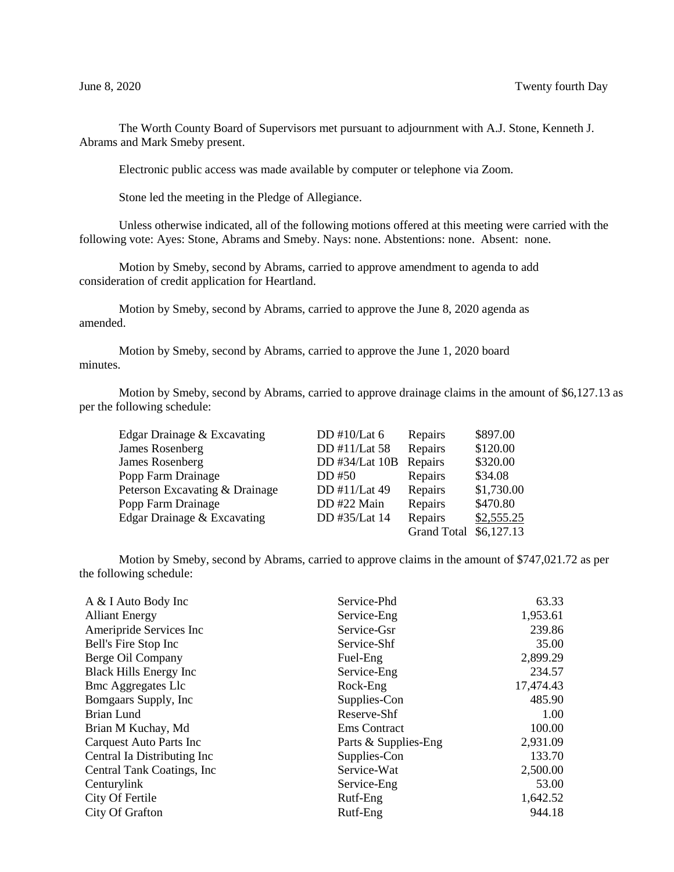The Worth County Board of Supervisors met pursuant to adjournment with A.J. Stone, Kenneth J. Abrams and Mark Smeby present.

Electronic public access was made available by computer or telephone via Zoom.

Stone led the meeting in the Pledge of Allegiance.

Unless otherwise indicated, all of the following motions offered at this meeting were carried with the following vote: Ayes: Stone, Abrams and Smeby. Nays: none. Abstentions: none. Absent: none.

Motion by Smeby, second by Abrams, carried to approve amendment to agenda to add consideration of credit application for Heartland.

Motion by Smeby, second by Abrams, carried to approve the June 8, 2020 agenda as amended.

Motion by Smeby, second by Abrams, carried to approve the June 1, 2020 board minutes.

Motion by Smeby, second by Abrams, carried to approve drainage claims in the amount of \$6,127.13 as per the following schedule:

| Edgar Drainage & Excavating    | DD #10/Lat $6$ | Repairs            | \$897.00   |
|--------------------------------|----------------|--------------------|------------|
| James Rosenberg                | DD #11/Lat 58  | Repairs            | \$120.00   |
| James Rosenberg                | DD #34/Lat 10B | Repairs            | \$320.00   |
| Popp Farm Drainage             | DD #50         | Repairs            | \$34.08    |
| Peterson Excavating & Drainage | DD #11/Lat 49  | Repairs            | \$1,730.00 |
| Popp Farm Drainage             | DD #22 Main    | Repairs            | \$470.80   |
| Edgar Drainage & Excavating    | DD #35/Lat 14  | Repairs            | \$2,555.25 |
|                                |                | <b>Grand Total</b> | \$6,127.13 |

Motion by Smeby, second by Abrams, carried to approve claims in the amount of \$747,021.72 as per the following schedule:

| A & I Auto Body Inc            | Service-Phd          | 63.33     |
|--------------------------------|----------------------|-----------|
| <b>Alliant Energy</b>          | Service-Eng          | 1,953.61  |
| Ameripride Services Inc        | Service-Gsr          | 239.86    |
|                                |                      |           |
| Bell's Fire Stop Inc           | Service-Shf          | 35.00     |
| Berge Oil Company              | Fuel-Eng             | 2,899.29  |
| <b>Black Hills Energy Inc</b>  | Service-Eng          | 234.57    |
| <b>Bmc Aggregates Llc</b>      | Rock-Eng             | 17,474.43 |
| Bomgaars Supply, Inc.          | Supplies-Con         | 485.90    |
| Brian Lund                     | Reserve-Shf          | 1.00      |
| Brian M Kuchay, Md             | <b>Ems</b> Contract  | 100.00    |
| <b>Carquest Auto Parts Inc</b> | Parts & Supplies-Eng | 2,931.09  |
| Central Ia Distributing Inc    | Supplies-Con         | 133.70    |
| Central Tank Coatings, Inc.    | Service-Wat          | 2,500.00  |
| Centurylink                    | Service-Eng          | 53.00     |
| City Of Fertile                | Rutf-Eng             | 1,642.52  |
| City Of Grafton                | Rutf-Eng             | 944.18    |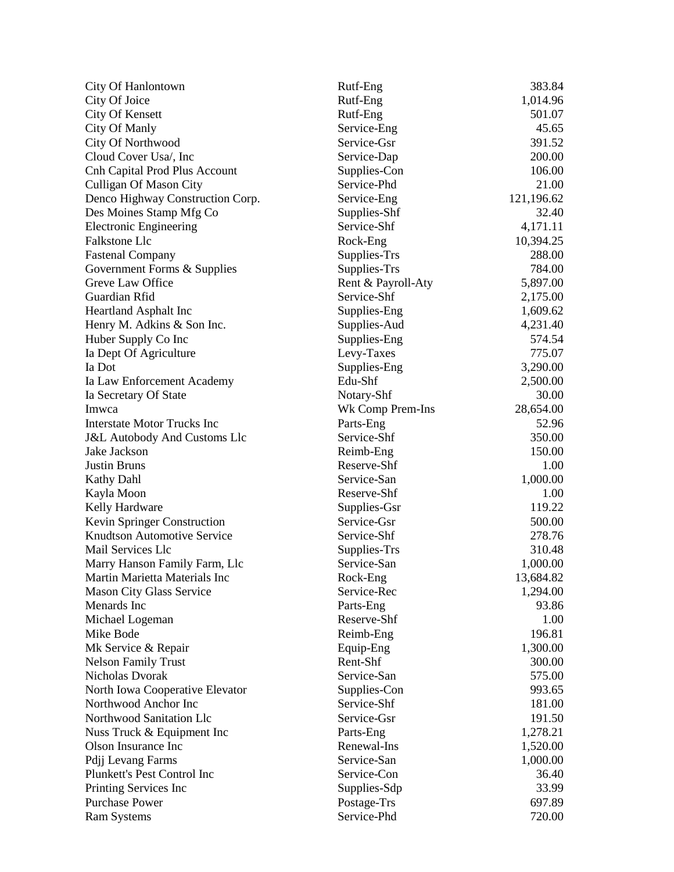| City Of Hanlontown                      | Rutf-Eng           | 383.84     |
|-----------------------------------------|--------------------|------------|
| City Of Joice                           | Rutf-Eng           | 1,014.96   |
| City Of Kensett                         | Rutf-Eng           | 501.07     |
| City Of Manly                           | Service-Eng        | 45.65      |
| <b>City Of Northwood</b>                | Service-Gsr        | 391.52     |
| Cloud Cover Usa/, Inc                   | Service-Dap        | 200.00     |
| Cnh Capital Prod Plus Account           | Supplies-Con       | 106.00     |
| <b>Culligan Of Mason City</b>           | Service-Phd        | 21.00      |
| Denco Highway Construction Corp.        | Service-Eng        | 121,196.62 |
| Des Moines Stamp Mfg Co                 | Supplies-Shf       | 32.40      |
| <b>Electronic Engineering</b>           | Service-Shf        | 4,171.11   |
| Falkstone Llc                           | Rock-Eng           | 10,394.25  |
| <b>Fastenal Company</b>                 | Supplies-Trs       | 288.00     |
| Government Forms & Supplies             | Supplies-Trs       | 784.00     |
| Greve Law Office                        | Rent & Payroll-Aty | 5,897.00   |
| Guardian Rfid                           | Service-Shf        | 2,175.00   |
| Heartland Asphalt Inc                   | Supplies-Eng       | 1,609.62   |
| Henry M. Adkins & Son Inc.              | Supplies-Aud       | 4,231.40   |
| Huber Supply Co Inc                     | Supplies-Eng       | 574.54     |
| Ia Dept Of Agriculture                  | Levy-Taxes         | 775.07     |
| Ia Dot                                  | Supplies-Eng       | 3,290.00   |
| Ia Law Enforcement Academy              | Edu-Shf            | 2,500.00   |
| Ia Secretary Of State                   | Notary-Shf         | 30.00      |
| Imwca                                   | Wk Comp Prem-Ins   | 28,654.00  |
| <b>Interstate Motor Trucks Inc</b>      | Parts-Eng          | 52.96      |
| <b>J&amp;L Autobody And Customs Llc</b> | Service-Shf        | 350.00     |
| Jake Jackson                            | Reimb-Eng          | 150.00     |
| <b>Justin Bruns</b>                     | Reserve-Shf        | 1.00       |
| <b>Kathy Dahl</b>                       | Service-San        | 1,000.00   |
| Kayla Moon                              | Reserve-Shf        | 1.00       |
| Kelly Hardware                          | Supplies-Gsr       | 119.22     |
| Kevin Springer Construction             | Service-Gsr        | 500.00     |
| <b>Knudtson Automotive Service</b>      | Service-Shf        | 278.76     |
| Mail Services Llc                       | Supplies-Trs       | 310.48     |
| Marry Hanson Family Farm, Llc           | Service-San        | 1,000.00   |
| Martin Marietta Materials Inc           | Rock-Eng           | 13,684.82  |
| Mason City Glass Service                | Service-Rec        | 1,294.00   |
| Menards Inc                             | Parts-Eng          | 93.86      |
| Michael Logeman                         | Reserve-Shf        | 1.00       |
| Mike Bode                               | Reimb-Eng          | 196.81     |
| Mk Service & Repair                     | Equip-Eng          | 1,300.00   |
| <b>Nelson Family Trust</b>              | Rent-Shf           | 300.00     |
| Nicholas Dvorak                         | Service-San        | 575.00     |
| North Iowa Cooperative Elevator         | Supplies-Con       | 993.65     |
| Northwood Anchor Inc                    | Service-Shf        | 181.00     |
| Northwood Sanitation Llc                | Service-Gsr        | 191.50     |
| Nuss Truck & Equipment Inc              | Parts-Eng          | 1,278.21   |
| Olson Insurance Inc                     | Renewal-Ins        | 1,520.00   |
| Pdjj Levang Farms                       | Service-San        | 1,000.00   |
| Plunkett's Pest Control Inc             | Service-Con        | 36.40      |
| Printing Services Inc                   | Supplies-Sdp       | 33.99      |
| <b>Purchase Power</b>                   | Postage-Trs        | 697.89     |
| <b>Ram Systems</b>                      | Service-Phd        | 720.00     |
|                                         |                    |            |